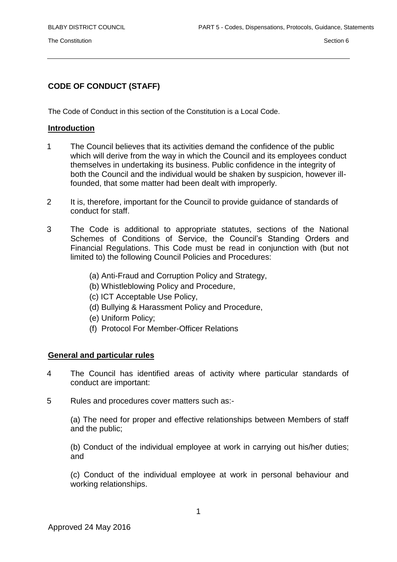The Constitution Section 6

# **CODE OF CONDUCT (STAFF)**

The Code of Conduct in this section of the Constitution is a Local Code.

### **Introduction**

- 1 The Council believes that its activities demand the confidence of the public which will derive from the way in which the Council and its employees conduct themselves in undertaking its business. Public confidence in the integrity of both the Council and the individual would be shaken by suspicion, however illfounded, that some matter had been dealt with improperly.
- 2 It is, therefore, important for the Council to provide guidance of standards of conduct for staff.
- 3 The Code is additional to appropriate statutes, sections of the National Schemes of Conditions of Service, the Council's Standing Orders and Financial Regulations. This Code must be read in conjunction with (but not limited to) the following Council Policies and Procedures:
	- (a) Anti-Fraud and Corruption Policy and Strategy,
	- (b) Whistleblowing Policy and Procedure,
	- (c) ICT Acceptable Use Policy,
	- (d) Bullying & Harassment Policy and Procedure,
	- (e) Uniform Policy;
	- (f) Protocol For Member-Officer Relations

#### **General and particular rules**

- 4 The Council has identified areas of activity where particular standards of conduct are important:
- 5 Rules and procedures cover matters such as:-

(a) The need for proper and effective relationships between Members of staff and the public;

(b) Conduct of the individual employee at work in carrying out his/her duties; and

(c) Conduct of the individual employee at work in personal behaviour and working relationships.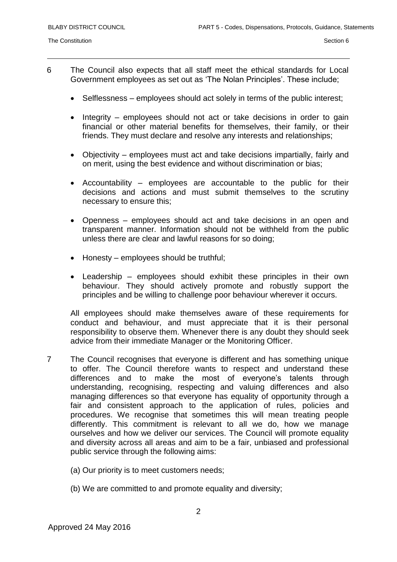- 6 The Council also expects that all staff meet the ethical standards for Local Government employees as set out as 'The Nolan Principles'. These include;
	- Selflessness employees should act solely in terms of the public interest;
	- Integrity employees should not act or take decisions in order to gain financial or other material benefits for themselves, their family, or their friends. They must declare and resolve any interests and relationships;
	- Objectivity employees must act and take decisions impartially, fairly and on merit, using the best evidence and without discrimination or bias;
	- Accountability employees are accountable to the public for their decisions and actions and must submit themselves to the scrutiny necessary to ensure this;
	- Openness employees should act and take decisions in an open and transparent manner. Information should not be withheld from the public unless there are clear and lawful reasons for so doing;
	- Honesty employees should be truthful;
	- Leadership employees should exhibit these principles in their own behaviour. They should actively promote and robustly support the principles and be willing to challenge poor behaviour wherever it occurs.

All employees should make themselves aware of these requirements for conduct and behaviour, and must appreciate that it is their personal responsibility to observe them. Whenever there is any doubt they should seek advice from their immediate Manager or the Monitoring Officer.

- 7 The Council recognises that everyone is different and has something unique to offer. The Council therefore wants to respect and understand these differences and to make the most of everyone's talents through understanding, recognising, respecting and valuing differences and also managing differences so that everyone has equality of opportunity through a fair and consistent approach to the application of rules, policies and procedures. We recognise that sometimes this will mean treating people differently. This commitment is relevant to all we do, how we manage ourselves and how we deliver our services. The Council will promote equality and diversity across all areas and aim to be a fair, unbiased and professional public service through the following aims:
	- (a) Our priority is to meet customers needs;
	- (b) We are committed to and promote equality and diversity;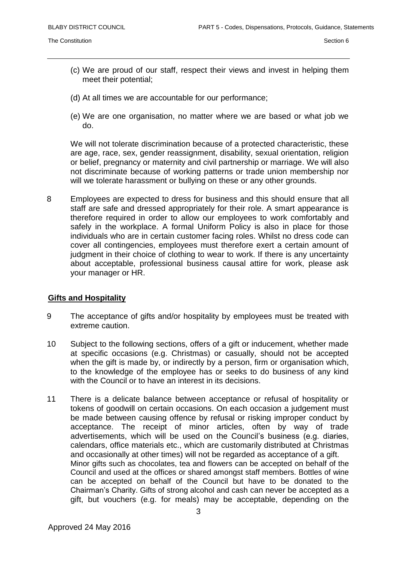- (c) We are proud of our staff, respect their views and invest in helping them meet their potential;
- (d) At all times we are accountable for our performance;
- (e) We are one organisation, no matter where we are based or what job we do.

We will not tolerate discrimination because of a protected characteristic, these are age, race, sex, gender reassignment, disability, sexual orientation, religion or belief, pregnancy or maternity and civil partnership or marriage. We will also not discriminate because of working patterns or trade union membership nor will we tolerate harassment or bullying on these or any other grounds.

8 Employees are expected to dress for business and this should ensure that all staff are safe and dressed appropriately for their role. A smart appearance is therefore required in order to allow our employees to work comfortably and safely in the workplace. A formal Uniform Policy is also in place for those individuals who are in certain customer facing roles. Whilst no dress code can cover all contingencies, employees must therefore exert a certain amount of judgment in their choice of clothing to wear to work. If there is any uncertainty about acceptable, professional business causal attire for work, please ask your manager or HR.

#### **Gifts and Hospitality**

- 9 The acceptance of gifts and/or hospitality by employees must be treated with extreme caution.
- 10 Subject to the following sections, offers of a gift or inducement, whether made at specific occasions (e.g. Christmas) or casually, should not be accepted when the gift is made by, or indirectly by a person, firm or organisation which, to the knowledge of the employee has or seeks to do business of any kind with the Council or to have an interest in its decisions.
- 11 There is a delicate balance between acceptance or refusal of hospitality or tokens of goodwill on certain occasions. On each occasion a judgement must be made between causing offence by refusal or risking improper conduct by acceptance. The receipt of minor articles, often by way of trade advertisements, which will be used on the Council's business (e.g. diaries, calendars, office materials etc., which are customarily distributed at Christmas and occasionally at other times) will not be regarded as acceptance of a gift. Minor gifts such as chocolates, tea and flowers can be accepted on behalf of the Council and used at the offices or shared amongst staff members. Bottles of wine can be accepted on behalf of the Council but have to be donated to the Chairman's Charity. Gifts of strong alcohol and cash can never be accepted as a gift, but vouchers (e.g. for meals) may be acceptable, depending on the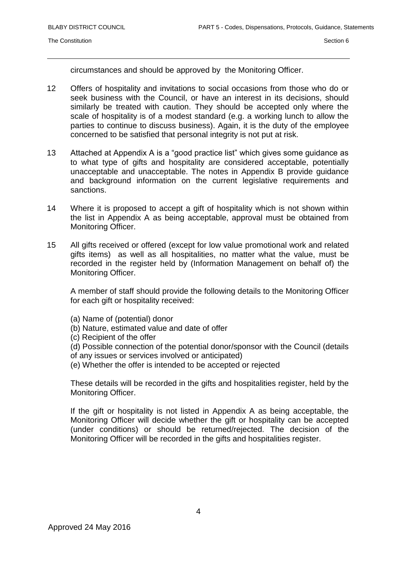circumstances and should be approved by the Monitoring Officer.

- 12 Offers of hospitality and invitations to social occasions from those who do or seek business with the Council, or have an interest in its decisions, should similarly be treated with caution. They should be accepted only where the scale of hospitality is of a modest standard (e.g. a working lunch to allow the parties to continue to discuss business). Again, it is the duty of the employee concerned to be satisfied that personal integrity is not put at risk.
- 13 Attached at Appendix A is a "good practice list" which gives some guidance as to what type of gifts and hospitality are considered acceptable, potentially unacceptable and unacceptable. The notes in Appendix B provide guidance and background information on the current legislative requirements and sanctions.
- 14 Where it is proposed to accept a gift of hospitality which is not shown within the list in Appendix A as being acceptable, approval must be obtained from Monitoring Officer.
- 15 All gifts received or offered (except for low value promotional work and related gifts items) as well as all hospitalities, no matter what the value, must be recorded in the register held by (Information Management on behalf of) the Monitoring Officer.

A member of staff should provide the following details to the Monitoring Officer for each gift or hospitality received:

- (a) Name of (potential) donor
- (b) Nature, estimated value and date of offer

(c) Recipient of the offer

(d) Possible connection of the potential donor/sponsor with the Council (details of any issues or services involved or anticipated)

(e) Whether the offer is intended to be accepted or rejected

These details will be recorded in the gifts and hospitalities register, held by the Monitoring Officer.

If the gift or hospitality is not listed in Appendix A as being acceptable, the Monitoring Officer will decide whether the gift or hospitality can be accepted (under conditions) or should be returned/rejected. The decision of the Monitoring Officer will be recorded in the gifts and hospitalities register.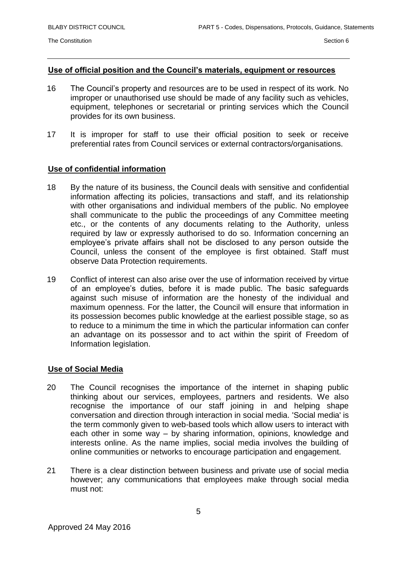#### **Use of official position and the Council's materials, equipment or resources**

- 16 The Council's property and resources are to be used in respect of its work. No improper or unauthorised use should be made of any facility such as vehicles, equipment, telephones or secretarial or printing services which the Council provides for its own business.
- 17 It is improper for staff to use their official position to seek or receive preferential rates from Council services or external contractors/organisations.

#### **Use of confidential information**

- 18 By the nature of its business, the Council deals with sensitive and confidential information affecting its policies, transactions and staff, and its relationship with other organisations and individual members of the public. No employee shall communicate to the public the proceedings of any Committee meeting etc., or the contents of any documents relating to the Authority, unless required by law or expressly authorised to do so. Information concerning an employee's private affairs shall not be disclosed to any person outside the Council, unless the consent of the employee is first obtained. Staff must observe Data Protection requirements.
- 19 Conflict of interest can also arise over the use of information received by virtue of an employee's duties, before it is made public. The basic safeguards against such misuse of information are the honesty of the individual and maximum openness. For the latter, the Council will ensure that information in its possession becomes public knowledge at the earliest possible stage, so as to reduce to a minimum the time in which the particular information can confer an advantage on its possessor and to act within the spirit of Freedom of Information legislation.

#### **Use of Social Media**

- 20 The Council recognises the importance of the internet in shaping public thinking about our services, employees, partners and residents. We also recognise the importance of our staff joining in and helping shape conversation and direction through interaction in social media. 'Social media' is the term commonly given to web-based tools which allow users to interact with each other in some way – by sharing information, opinions, knowledge and interests online. As the name implies, social media involves the building of online communities or networks to encourage participation and engagement.
- 21 There is a clear distinction between business and private use of social media however; any communications that employees make through social media must not: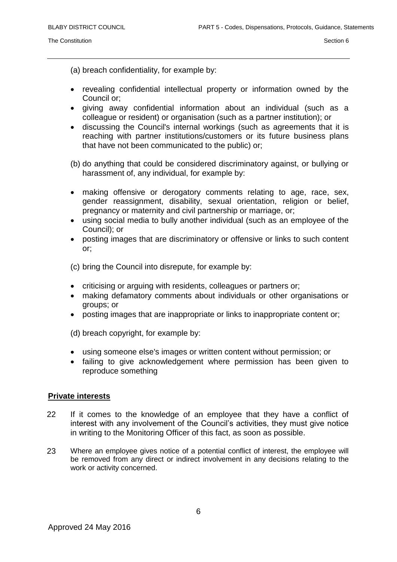(a) breach confidentiality, for example by:

- revealing confidential intellectual property or information owned by the Council or;
- giving away confidential information about an individual (such as a colleague or resident) or organisation (such as a partner institution); or
- discussing the Council's internal workings (such as agreements that it is reaching with partner institutions/customers or its future business plans that have not been communicated to the public) or;

(b) do anything that could be considered discriminatory against, or bullying or harassment of, any individual, for example by:

- making offensive or derogatory comments relating to age, race, sex, gender reassignment, disability, sexual orientation, religion or belief, pregnancy or maternity and civil partnership or marriage, or;
- using social media to bully another individual (such as an employee of the Council); or
- posting images that are discriminatory or offensive or links to such content or;

(c) bring the Council into disrepute, for example by:

- criticising or arguing with residents, colleagues or partners or;
- making defamatory comments about individuals or other organisations or groups; or
- posting images that are inappropriate or links to inappropriate content or;

(d) breach copyright, for example by:

- using someone else's images or written content without permission; or
- failing to give acknowledgement where permission has been given to reproduce something

#### **Private interests**

- 22 If it comes to the knowledge of an employee that they have a conflict of interest with any involvement of the Council's activities, they must give notice in writing to the Monitoring Officer of this fact, as soon as possible.
- 23 Where an employee gives notice of a potential conflict of interest, the employee will be removed from any direct or indirect involvement in any decisions relating to the work or activity concerned.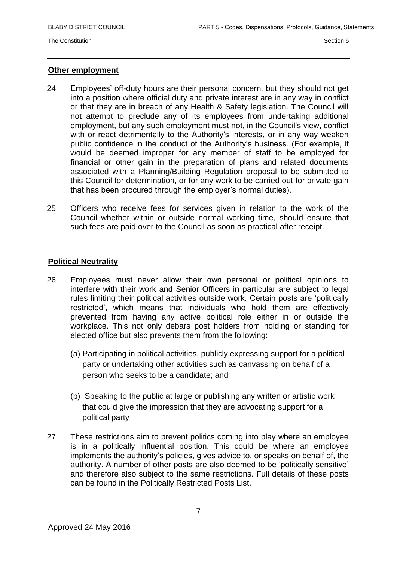#### **Other employment**

- 24 Employees' off-duty hours are their personal concern, but they should not get into a position where official duty and private interest are in any way in conflict or that they are in breach of any Health & Safety legislation. The Council will not attempt to preclude any of its employees from undertaking additional employment, but any such employment must not, in the Council's view, conflict with or react detrimentally to the Authority's interests, or in any way weaken public confidence in the conduct of the Authority's business. (For example, it would be deemed improper for any member of staff to be employed for financial or other gain in the preparation of plans and related documents associated with a Planning/Building Regulation proposal to be submitted to this Council for determination, or for any work to be carried out for private gain that has been procured through the employer's normal duties).
- 25 Officers who receive fees for services given in relation to the work of the Council whether within or outside normal working time, should ensure that such fees are paid over to the Council as soon as practical after receipt.

#### **Political Neutrality**

- 26 Employees must never allow their own personal or political opinions to interfere with their work and Senior Officers in particular are subject to legal rules limiting their political activities outside work. Certain posts are 'politically restricted', which means that individuals who hold them are effectively prevented from having any active political role either in or outside the workplace. This not only debars post holders from holding or standing for elected office but also prevents them from the following:
	- (a) Participating in political activities, publicly expressing support for a political party or undertaking other activities such as canvassing on behalf of a person who seeks to be a candidate; and
	- (b) Speaking to the public at large or publishing any written or artistic work that could give the impression that they are advocating support for a political party
- 27 These restrictions aim to prevent politics coming into play where an employee is in a politically influential position. This could be where an employee implements the authority's policies, gives advice to, or speaks on behalf of, the authority. A number of other posts are also deemed to be 'politically sensitive' and therefore also subject to the same restrictions. Full details of these posts can be found in the Politically Restricted Posts List.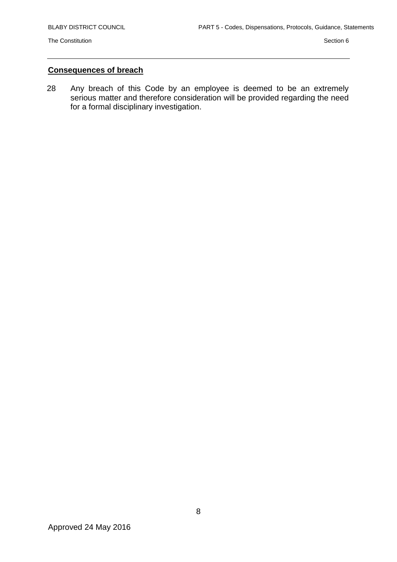## **Consequences of breach**

28 Any breach of this Code by an employee is deemed to be an extremely serious matter and therefore consideration will be provided regarding the need for a formal disciplinary investigation.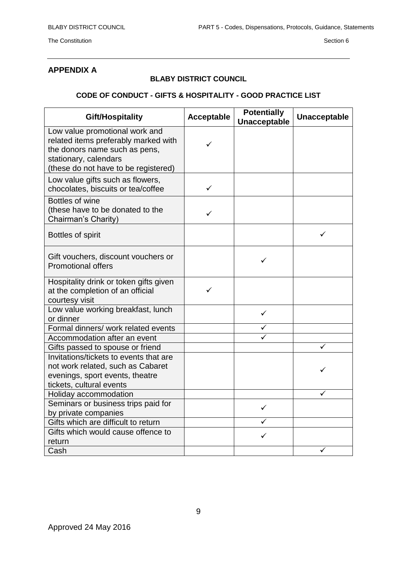# **APPENDIX A**

### **BLABY DISTRICT COUNCIL**

## **CODE OF CONDUCT - GIFTS & HOSPITALITY - GOOD PRACTICE LIST**

| Gift/Hospitality                                                                                                                                                         | <b>Acceptable</b> | <b>Potentially</b><br><b>Unacceptable</b> | <b>Unacceptable</b> |
|--------------------------------------------------------------------------------------------------------------------------------------------------------------------------|-------------------|-------------------------------------------|---------------------|
| Low value promotional work and<br>related items preferably marked with<br>the donors name such as pens,<br>stationary, calendars<br>(these do not have to be registered) |                   |                                           |                     |
| Low value gifts such as flowers,<br>chocolates, biscuits or tea/coffee                                                                                                   | ✓                 |                                           |                     |
| Bottles of wine<br>(these have to be donated to the<br>Chairman's Charity)                                                                                               | ✓                 |                                           |                     |
| Bottles of spirit                                                                                                                                                        |                   |                                           | ✓                   |
| Gift vouchers, discount vouchers or<br><b>Promotional offers</b>                                                                                                         |                   | ✓                                         |                     |
| Hospitality drink or token gifts given<br>at the completion of an official<br>courtesy visit                                                                             |                   |                                           |                     |
| Low value working breakfast, lunch<br>or dinner                                                                                                                          |                   | ✓                                         |                     |
| Formal dinners/ work related events                                                                                                                                      |                   |                                           |                     |
| Accommodation after an event                                                                                                                                             |                   |                                           |                     |
| Gifts passed to spouse or friend                                                                                                                                         |                   |                                           |                     |
| Invitations/tickets to events that are<br>not work related, such as Cabaret<br>evenings, sport events, theatre<br>tickets, cultural events                               |                   |                                           | ✓                   |
| Holiday accommodation                                                                                                                                                    |                   |                                           |                     |
| Seminars or business trips paid for<br>by private companies                                                                                                              |                   | ✓                                         |                     |
| Gifts which are difficult to return                                                                                                                                      |                   |                                           |                     |
| Gifts which would cause offence to<br>return                                                                                                                             |                   | ✓                                         |                     |
| Cash                                                                                                                                                                     |                   |                                           |                     |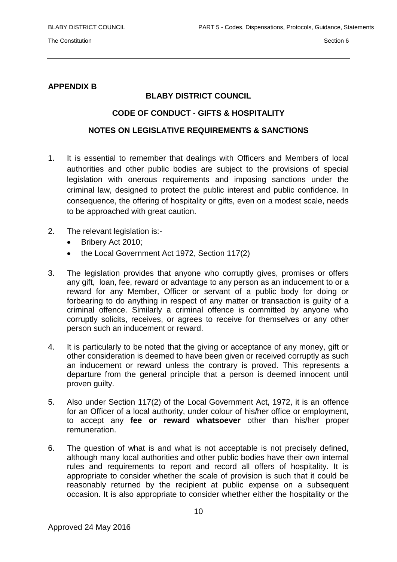### **APPENDIX B**

## **BLABY DISTRICT COUNCIL**

#### **CODE OF CONDUCT - GIFTS & HOSPITALITY**

## **NOTES ON LEGISLATIVE REQUIREMENTS & SANCTIONS**

- 1. It is essential to remember that dealings with Officers and Members of local authorities and other public bodies are subject to the provisions of special legislation with onerous requirements and imposing sanctions under the criminal law, designed to protect the public interest and public confidence. In consequence, the offering of hospitality or gifts, even on a modest scale, needs to be approached with great caution.
- 2. The relevant legislation is:-
	- Bribery Act 2010;
	- the Local Government Act 1972, Section 117(2)
- 3. The legislation provides that anyone who corruptly gives, promises or offers any gift, loan, fee, reward or advantage to any person as an inducement to or a reward for any Member, Officer or servant of a public body for doing or forbearing to do anything in respect of any matter or transaction is guilty of a criminal offence. Similarly a criminal offence is committed by anyone who corruptly solicits, receives, or agrees to receive for themselves or any other person such an inducement or reward.
- 4. It is particularly to be noted that the giving or acceptance of any money, gift or other consideration is deemed to have been given or received corruptly as such an inducement or reward unless the contrary is proved. This represents a departure from the general principle that a person is deemed innocent until proven guilty.
- 5. Also under Section 117(2) of the Local Government Act, 1972, it is an offence for an Officer of a local authority, under colour of his/her office or employment, to accept any **fee or reward whatsoever** other than his/her proper remuneration.
- 6. The question of what is and what is not acceptable is not precisely defined, although many local authorities and other public bodies have their own internal rules and requirements to report and record all offers of hospitality. It is appropriate to consider whether the scale of provision is such that it could be reasonably returned by the recipient at public expense on a subsequent occasion. It is also appropriate to consider whether either the hospitality or the